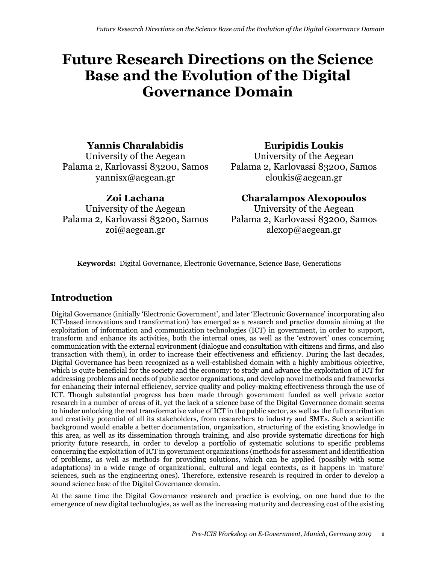# **Future Research Directions on the Science Base and the Evolution of the Digital Governance Domain**

### **Yannis Charalabidis**

University of the Aegean Palama 2, Karlovassi 83200, Samos yannisx@aegean.gr

**Zoi Lachana** University of the Aegean Palama 2, Karlovassi 83200, Samos zoi@aegean.gr

**Euripidis Loukis**

University of the Aegean Palama 2, Karlovassi 83200, Samos eloukis@aegean.gr

**Charalampos Alexopoulos**

University of the Aegean Palama 2, Karlovassi 83200, Samos alexop@aegean.gr

**Keywords:** Digital Governance, Electronic Governance, Science Base, Generations

## **Introduction**

Digital Governance (initially 'Electronic Government', and later 'Electronic Governance' incorporating also ICT-based innovations and transformation) has emerged as a research and practice domain aiming at the exploitation of information and communication technologies (ICT) in government, in order to support, transform and enhance its activities, both the internal ones, as well as the 'extrovert' ones concerning communication with the external environment (dialogue and consultation with citizens and firms, and also transaction with them), in order to increase their effectiveness and efficiency. During the last decades, Digital Governance has been recognized as a well-established domain with a highly ambitious objective, which is quite beneficial for the society and the economy: to study and advance the exploitation of ICT for addressing problems and needs of public sector organizations, and develop novel methods and frameworks for enhancing their internal efficiency, service quality and policy-making effectiveness through the use of ICT. Though substantial progress has been made through government funded as well private sector research in a number of areas of it, yet the lack of a science base of the Digital Governance domain seems to hinder unlocking the real transformative value of ICT in the public sector, as well as the full contribution and creativity potential of all its stakeholders, from researchers to industry and SMEs. Such a scientific background would enable a better documentation, organization, structuring of the existing knowledge in this area, as well as its dissemination through training, and also provide systematic directions for high priority future research, in order to develop a portfolio of systematic solutions to specific problems concerning the exploitation of ICT in government organizations (methods for assessment and identification of problems, as well as methods for providing solutions, which can be applied (possibly with some adaptations) in a wide range of organizational, cultural and legal contexts, as it happens in 'mature' sciences, such as the engineering ones). Therefore, extensive research is required in order to develop a sound science base of the Digital Governance domain.

At the same time the Digital Governance research and practice is evolving, on one hand due to the emergence of new digital technologies, as well as the increasing maturity and decreasing cost of the existing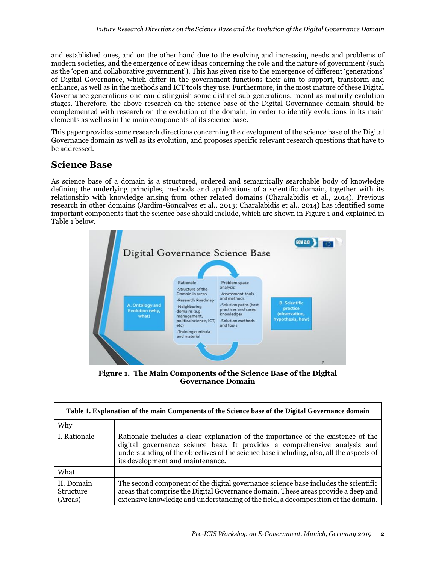and established ones, and on the other hand due to the evolving and increasing needs and problems of modern societies, and the emergence of new ideas concerning the role and the nature of government (such as the 'open and collaborative government'). This has given rise to the emergence of different 'generations' of Digital Governance, which differ in the government functions their aim to support, transform and enhance, as well as in the methods and ICT tools they use. Furthermore, in the most mature of these Digital Governance generations one can distinguish some distinct sub-generations, meant as maturity evolution stages. Therefore, the above research on the science base of the Digital Governance domain should be complemented with research on the evolution of the domain, in order to identify evolutions in its main elements as well as in the main components of its science base.

This paper provides some research directions concerning the development of the science base of the Digital Governance domain as well as its evolution, and proposes specific relevant research questions that have to be addressed.

### **Science Base**

As science base of a domain is a structured, ordered and semantically searchable body of knowledge defining the underlying principles, methods and applications of a scientific domain, together with its relationship with knowledge arising from other related domains (Charalabidis et al., 2014). Previous research in other domains (Jardim-Goncalves et al., 2013; Charalabidis et al., 2014) has identified some important components that the science base should include, which are shown in Figure 1 and explained in Table 1 below.



| Table 1. Explanation of the main Components of the Science base of the Digital Governance domain |                                                                                                                                                                                                                                                                                              |  |  |  |  |
|--------------------------------------------------------------------------------------------------|----------------------------------------------------------------------------------------------------------------------------------------------------------------------------------------------------------------------------------------------------------------------------------------------|--|--|--|--|
| Why                                                                                              |                                                                                                                                                                                                                                                                                              |  |  |  |  |
| I. Rationale                                                                                     | Rationale includes a clear explanation of the importance of the existence of the<br>digital governance science base. It provides a comprehensive analysis and<br>understanding of the objectives of the science base including, also, all the aspects of<br>its development and maintenance. |  |  |  |  |
| What                                                                                             |                                                                                                                                                                                                                                                                                              |  |  |  |  |
| II. Domain<br>Structure<br>(Areas)                                                               | The second component of the digital governance science base includes the scientific<br>areas that comprise the Digital Governance domain. These areas provide a deep and<br>extensive knowledge and understanding of the field, a decomposition of the domain.                               |  |  |  |  |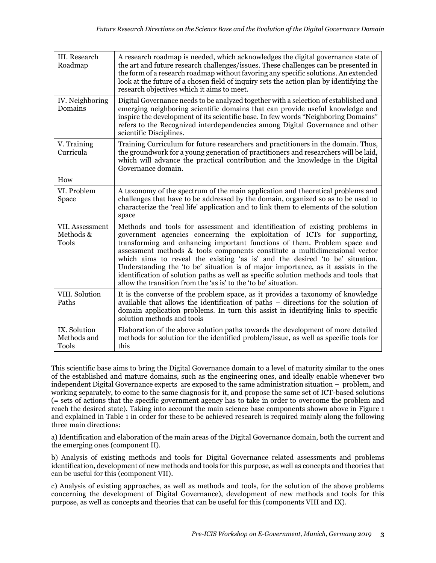| III. Research<br>Roadmap                     | A research roadmap is needed, which acknowledges the digital governance state of<br>the art and future research challenges/issues. These challenges can be presented in<br>the form of a research roadmap without favoring any specific solutions. An extended<br>look at the future of a chosen field of inquiry sets the action plan by identifying the<br>research objectives which it aims to meet.                                                                                                                                                                                                                                          |  |  |  |  |
|----------------------------------------------|--------------------------------------------------------------------------------------------------------------------------------------------------------------------------------------------------------------------------------------------------------------------------------------------------------------------------------------------------------------------------------------------------------------------------------------------------------------------------------------------------------------------------------------------------------------------------------------------------------------------------------------------------|--|--|--|--|
| IV. Neighboring<br>Domains                   | Digital Governance needs to be analyzed together with a selection of established and<br>emerging neighboring scientific domains that can provide useful knowledge and<br>inspire the development of its scientific base. In few words "Neighboring Domains"<br>refers to the Recognized interdependencies among Digital Governance and other<br>scientific Disciplines.                                                                                                                                                                                                                                                                          |  |  |  |  |
| V. Training<br>Curricula                     | Training Curriculum for future researchers and practitioners in the domain. Thus,<br>the groundwork for a young generation of practitioners and researchers will be laid,<br>which will advance the practical contribution and the knowledge in the Digital<br>Governance domain.                                                                                                                                                                                                                                                                                                                                                                |  |  |  |  |
| How                                          |                                                                                                                                                                                                                                                                                                                                                                                                                                                                                                                                                                                                                                                  |  |  |  |  |
| VI. Problem<br><b>Space</b>                  | A taxonomy of the spectrum of the main application and theoretical problems and<br>challenges that have to be addressed by the domain, organized so as to be used to<br>characterize the 'real life' application and to link them to elements of the solution<br>space                                                                                                                                                                                                                                                                                                                                                                           |  |  |  |  |
| VII. Assessment<br>Methods &<br><b>Tools</b> | Methods and tools for assessment and identification of existing problems in<br>government agencies concerning the exploitation of ICTs for supporting,<br>transforming and enhancing important functions of them. Problem space and<br>assessment methods & tools components constitute a multidimensional vector<br>which aims to reveal the existing 'as is' and the desired 'to be' situation.<br>Understanding the 'to be' situation is of major importance, as it assists in the<br>identification of solution paths as well as specific solution methods and tools that<br>allow the transition from the 'as is' to the 'to be' situation. |  |  |  |  |
| VIII. Solution<br>Paths                      | It is the converse of the problem space, as it provides a taxonomy of knowledge<br>available that allows the identification of paths – directions for the solution of<br>domain application problems. In turn this assist in identifying links to specific<br>solution methods and tools                                                                                                                                                                                                                                                                                                                                                         |  |  |  |  |
| IX. Solution<br>Methods and<br><b>Tools</b>  | Elaboration of the above solution paths towards the development of more detailed<br>methods for solution for the identified problem/issue, as well as specific tools for<br>this                                                                                                                                                                                                                                                                                                                                                                                                                                                                 |  |  |  |  |

This scientific base aims to bring the Digital Governance domain to a level of maturity similar to the ones of the established and mature domains, such as the engineering ones, and ideally enable whenever two independent Digital Governance experts are exposed to the same administration situation – problem, and working separately, to come to the same diagnosis for it, and propose the same set of ICT-based solutions (= sets of actions that the specific government agency has to take in order to overcome the problem and reach the desired state). Taking into account the main science base components shown above in Figure 1 and explained in Table 1 in order for these to be achieved research is required mainly along the following three main directions:

a) Identification and elaboration of the main areas of the Digital Governance domain, both the current and the emerging ones (component II).

b) Analysis of existing methods and tools for Digital Governance related assessments and problems identification, development of new methods and tools for this purpose, as well as concepts and theories that can be useful for this (component VII).

c) Analysis of existing approaches, as well as methods and tools, for the solution of the above problems concerning the development of Digital Governance), development of new methods and tools for this purpose, as well as concepts and theories that can be useful for this (components VIII and IX).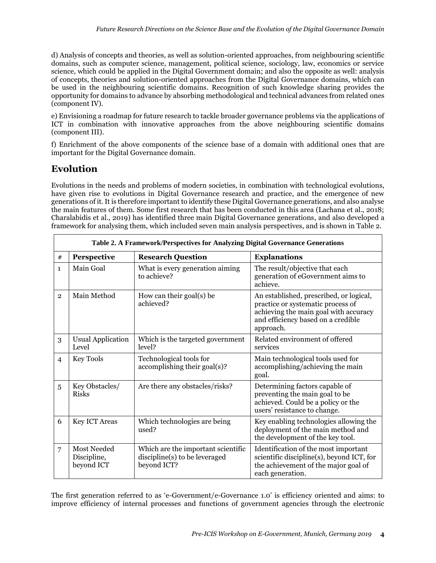d) Analysis of concepts and theories, as well as solution-oriented approaches, from neighbouring scientific domains, such as computer science, management, political science, sociology, law, economics or service science, which could be applied in the Digital Government domain; and also the opposite as well: analysis of concepts, theories and solution-oriented approaches from the Digital Governance domains, which can be used in the neighbouring scientific domains. Recognition of such knowledge sharing provides the opportunity for domains to advance by absorbing methodological and technical advances from related ones (component IV).

e) Envisioning a roadmap for future research to tackle broader governance problems via the applications of ICT in combination with innovative approaches from the above neighbouring scientific domains (component III).

f) Enrichment of the above components of the science base of a domain with additional ones that are important for the Digital Governance domain.

# **Evolution**

Evolutions in the needs and problems of modern societies, in combination with technological evolutions, have given rise to evolutions in Digital Governance research and practice, and the emergence of new generations of it. It is therefore important to identify these Digital Governance generations, and also analyse the main features of them. Some first research that has been conducted in this area (Lachana et al., 2018; Charalabidis et al., 2019) has identified three main Digital Governance generations, and also developed a framework for analysing them, which included seven main analysis perspectives, and is shown in Table 2.

|                | Table 2. A Framework/Perspectives for Analyzing Digital Governance Generations |                                                                                    |                                                                                                                                                                          |  |  |  |  |  |
|----------------|--------------------------------------------------------------------------------|------------------------------------------------------------------------------------|--------------------------------------------------------------------------------------------------------------------------------------------------------------------------|--|--|--|--|--|
| #              | Perspective                                                                    | <b>Research Question</b>                                                           | <b>Explanations</b>                                                                                                                                                      |  |  |  |  |  |
| $\mathbf{1}$   | Main Goal                                                                      | What is every generation aiming<br>to achieve?                                     | The result/objective that each<br>generation of eGovernment aims to<br>achieve.                                                                                          |  |  |  |  |  |
| $\overline{2}$ | Main Method                                                                    | How can their goal(s) be<br>achieved?                                              | An established, prescribed, or logical,<br>practice or systematic process of<br>achieving the main goal with accuracy<br>and efficiency based on a credible<br>approach. |  |  |  |  |  |
| 3              | <b>Usual Application</b><br>Level                                              | Which is the targeted government<br>level?                                         | Related environment of offered<br>services                                                                                                                               |  |  |  |  |  |
| $\overline{4}$ | <b>Key Tools</b>                                                               | Technological tools for<br>accomplishing their goal(s)?                            | Main technological tools used for<br>accomplishing/achieving the main<br>goal.                                                                                           |  |  |  |  |  |
| 5              | Key Obstacles/<br><b>Risks</b>                                                 | Are there any obstacles/risks?                                                     | Determining factors capable of<br>preventing the main goal to be<br>achieved. Could be a policy or the<br>users' resistance to change.                                   |  |  |  |  |  |
| 6              | <b>Key ICT Areas</b>                                                           | Which technologies are being<br>used?                                              | Key enabling technologies allowing the<br>deployment of the main method and<br>the development of the key tool.                                                          |  |  |  |  |  |
| 7              | <b>Most Needed</b><br>Discipline,<br>beyond ICT                                | Which are the important scientific<br>discipline(s) to be leveraged<br>beyond ICT? | Identification of the most important<br>scientific discipline(s), beyond ICT, for<br>the achievement of the major goal of<br>each generation.                            |  |  |  |  |  |

The first generation referred to as 'e-Government/e-Governance 1.0' is efficiency oriented and aims: to improve efficiency of internal processes and functions of government agencies through the electronic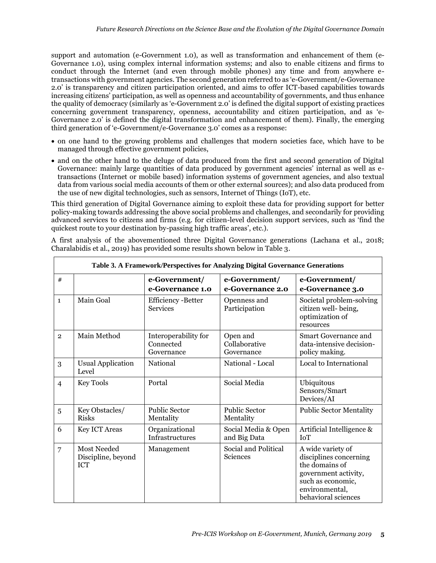support and automation (e-Government 1.0), as well as transformation and enhancement of them (e-Governance 1.0), using complex internal information systems; and also to enable citizens and firms to conduct through the Internet (and even through mobile phones) any time and from anywhere etransactions with government agencies. The second generation referred to as 'e-Government/e-Governance 2.0' is transparency and citizen participation oriented, and aims to offer ICT-based capabilities towards increasing citizens' participation, as well as openness and accountability of governments, and thus enhance the quality of democracy (similarly as 'e-Government 2.0' is defined the digital support of existing practices concerning government transparency, openness, accountability and citizen participation, and as 'e-Governance 2.0' is defined the digital transformation and enhancement of them). Finally, the emerging third generation of 'e-Government/e-Governance 3.0' comes as a response:

- on one hand to the growing problems and challenges that modern societies face, which have to be managed through effective government policies,
- and on the other hand to the deluge of data produced from the first and second generation of Digital Governance: mainly large quantities of data produced by government agencies' internal as well as etransactions (Internet or mobile based) information systems of government agencies, and also textual data from various social media accounts of them or other external sources); and also data produced from the use of new digital technologies, such as sensors, Internet of Things (IoT), etc.

This third generation of Digital Governance aiming to exploit these data for providing support for better policy-making towards addressing the above social problems and challenges, and secondarily for providing advanced services to citizens and firms (e.g. for citizen-level decision support services, such as 'find the quickest route to your destination by-passing high traffic areas', etc.).

|  |  | A first analysis of the abovementioned three Digital Governance generations (Lachana et al., 2018; |  |  |  |  |
|--|--|----------------------------------------------------------------------------------------------------|--|--|--|--|
|  |  | Charalabidis et al., 2019) has provided some results shown below in Table 3.                       |  |  |  |  |

| Table 3. A Framework/Perspectives for Analyzing Digital Governance Generations |                                          |                                                 |                                         |                                                                                                                                                     |  |  |  |
|--------------------------------------------------------------------------------|------------------------------------------|-------------------------------------------------|-----------------------------------------|-----------------------------------------------------------------------------------------------------------------------------------------------------|--|--|--|
| #                                                                              |                                          | e-Government/<br>e-Governance 1.0               | e-Government/<br>e-Governance 2.0       | e-Government/<br>e-Governance 3.0                                                                                                                   |  |  |  |
| $\mathbf{1}$                                                                   | Main Goal                                | <b>Efficiency-Better</b><br><b>Services</b>     | Openness and<br>Participation           | Societal problem-solving<br>citizen well-being,<br>optimization of<br>resources                                                                     |  |  |  |
| $\overline{2}$                                                                 | Main Method                              | Interoperability for<br>Connected<br>Governance | Open and<br>Collaborative<br>Governance | Smart Governance and<br>data-intensive decision-<br>policy making.                                                                                  |  |  |  |
| 3                                                                              | <b>Usual Application</b><br>Level        | National                                        | National - Local                        | Local to International                                                                                                                              |  |  |  |
| $\overline{4}$                                                                 | <b>Key Tools</b>                         | Portal                                          | Social Media                            | Ubiquitous<br>Sensors/Smart<br>Devices/AI                                                                                                           |  |  |  |
| 5                                                                              | Key Obstacles/<br><b>Risks</b>           | <b>Public Sector</b><br>Mentality               | <b>Public Sector</b><br>Mentality       | <b>Public Sector Mentality</b>                                                                                                                      |  |  |  |
| 6                                                                              | <b>Key ICT Areas</b>                     | Organizational<br><b>Infrastructures</b>        | Social Media & Open<br>and Big Data     | Artificial Intelligence &<br><b>IoT</b>                                                                                                             |  |  |  |
| $\overline{7}$                                                                 | Most Needed<br>Discipline, beyond<br>ICT | Management                                      | Social and Political<br>Sciences        | A wide variety of<br>disciplines concerning<br>the domains of<br>government activity,<br>such as economic,<br>environmental,<br>behavioral sciences |  |  |  |